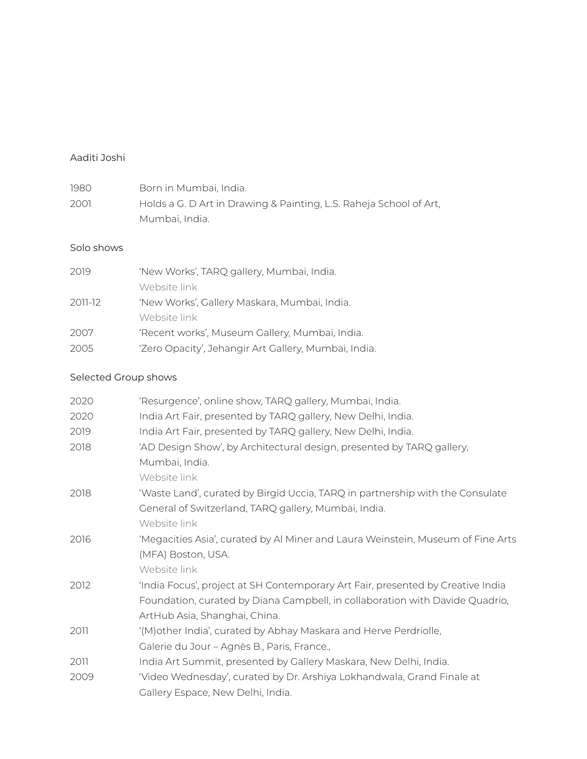## Aaditi Joshi

| 1980 | Born in Mumbai, India.                                             |
|------|--------------------------------------------------------------------|
| 2001 | Holds a G. D Art in Drawing & Painting, L.S. Raheja School of Art, |
|      | Mumbai, India.                                                     |

## Solo shows

| 2019    | 'New Works', TARQ gallery, Mumbai, India.            |
|---------|------------------------------------------------------|
|         | Website link                                         |
| 2011-12 | 'New Works', Gallery Maskara, Mumbai, India.         |
|         | Website link                                         |
| 2007    | 'Recent works', Museum Gallery, Mumbai, India.       |
| 2005    | 'Zero Opacity', Jehangir Art Gallery, Mumbai, India. |

## Selected Group shows

| 2020 | 'Resurgence', online show, TARQ gallery, Mumbai, India.                         |
|------|---------------------------------------------------------------------------------|
| 2020 | India Art Fair, presented by TARQ gallery, New Delhi, India.                    |
| 2019 | India Art Fair, presented by TARQ gallery, New Delhi, India.                    |
| 2018 | 'AD Design Show', by Architectural design, presented by TARQ gallery,           |
|      | Mumbai, India.                                                                  |
|      | Website link                                                                    |
| 2018 | 'Waste Land', curated by Birgid Uccia, TARQ in partnership with the Consulate   |
|      | General of Switzerland, TARQ gallery, Mumbai, India.                            |
|      | Website link                                                                    |
| 2016 | 'Megacities Asia', curated by Al Miner and Laura Weinstein, Museum of Fine Arts |
|      | (MFA) Boston, USA.                                                              |
|      | Website link                                                                    |
| 2012 | 'India Focus', project at SH Contemporary Art Fair, presented by Creative India |
|      | Foundation, curated by Diana Campbell, in collaboration with Davide Quadrio,    |
|      | ArtHub Asia, Shanghai, China.                                                   |
| 2011 | '(M) other India', curated by Abhay Maskara and Herve Perdriolle,               |
|      | Galerie du Jour - Agnès B., Paris, France.,                                     |
| 2011 | India Art Summit, presented by Gallery Maskara, New Delhi, India.               |
| 2009 | 'Video Wednesday', curated by Dr. Arshiya Lokhandwala, Grand Finale at          |
|      | Gallery Espace, New Delhi, India.                                               |